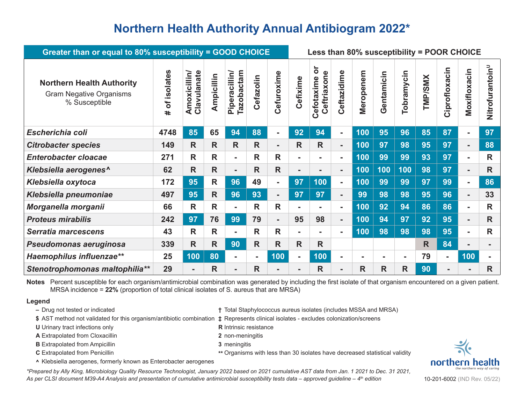## **Northern Health Authority Annual Antibiogram 2022\***

| Greater than or equal to 80% susceptibility = GOOD CHOICE                           | Less than 80% susceptibility = POOR CHOICE |                             |              |                                    |                |                |                |                                                  |                |                |                |                |                |                |                |                             |
|-------------------------------------------------------------------------------------|--------------------------------------------|-----------------------------|--------------|------------------------------------|----------------|----------------|----------------|--------------------------------------------------|----------------|----------------|----------------|----------------|----------------|----------------|----------------|-----------------------------|
| <b>Northern Health Authority</b><br><b>Gram Negative Organisms</b><br>% Susceptible | isolates<br>ð<br>$\ddot{}$                 | Clavulanate<br>Amoxicillin/ | Ampicillin   | Tazobactam<br><b>Piperacillin/</b> | Cefazolin      | Cefuroxime     | Cefixime       | $\overline{\sigma}$<br>Ceftriaxone<br>Cefotaxime | Ceftazidime    | Meropenem      | Gentamicin     | Tobramycin     | <b>TMP/SMX</b> | Ciprofloxacin  | Moxifloxacin   | Nitrofurantoin <sup>u</sup> |
| Escherichia coli                                                                    | 4748                                       | 85                          | 65           | 94                                 | 88             | $\blacksquare$ | 92             | 94                                               | $\blacksquare$ | 100            | 95             | 96             | 85             | 87             | $\blacksquare$ | 97                          |
| <b>Citrobacter species</b>                                                          | 149                                        | $\mathsf{R}$                | $\mathsf{R}$ | R                                  | R              | $\blacksquare$ | R              | $\mathsf{R}$                                     | $\blacksquare$ | 100            | 97             | 98             | 95             | 97             | $\blacksquare$ | 88                          |
| <b>Enterobacter cloacae</b>                                                         | 271                                        | R                           | R            | $\blacksquare$                     | $\mathsf{R}$   | R              | $\blacksquare$ | $\blacksquare$                                   |                | 100            | 99             | 99             | 93             | 97             | ۰.             | R                           |
| Klebsiella aerogenes^                                                               | 62                                         | $\mathsf{R}$                | R            | ۰.                                 | $\mathsf{R}$   | $\mathsf{R}$   | $\blacksquare$ | $\blacksquare$                                   | ۰.             | 100            | 100            | 100            | 98             | 97             | Ξ.             | R                           |
| Klebsiella oxytoca                                                                  | 172                                        | 95                          | $\mathsf{R}$ | 96                                 | 49             | ۰.             | 97             | 100                                              | $\blacksquare$ | 100            | 99             | 99             | 97             | 99             | Ξ.             | 86                          |
| Klebsiella pneumoniae                                                               | 497                                        | 95                          | $\mathsf{R}$ | 96                                 | 93             | $\blacksquare$ | 97             | 97                                               | $\blacksquare$ | 99             | 98             | 98             | 95             | 96             | $\blacksquare$ | 33                          |
| Morganella morganii                                                                 | 66                                         | R                           | R            |                                    | $\mathsf{R}$   | $\mathsf{R}$   | $\blacksquare$ | $\blacksquare$                                   | Ξ.             | 100            | 92             | 94             | 86             | 86             | $\blacksquare$ | $\mathsf{R}$                |
| <b>Proteus mirabilis</b>                                                            | 242                                        | 97                          | 76           | 99                                 | 79             | $\blacksquare$ | 95             | 98                                               | $\blacksquare$ | 100            | 94             | 97             | 92             | 95             | $\blacksquare$ | R                           |
| <b>Serratia marcescens</b>                                                          | 43                                         | $\mathsf{R}$                | $\mathsf{R}$ |                                    | R              | R              | $\blacksquare$ | $\blacksquare$                                   |                | 100            | 98             | 98             | 98             | 95             | Ξ.             | R                           |
| Pseudomonas aeruginosa                                                              | 339                                        | $\mathsf{R}$                | $\mathsf{R}$ | 90                                 | $\mathsf{R}$   | R              | R              | $\mathsf{R}$                                     |                |                |                |                | R              | 84             | $\blacksquare$ | ۰                           |
| <b>Haemophilus influenzae**</b>                                                     | 25                                         | 100                         | 80           | $\blacksquare$                     | $\blacksquare$ | 100            | $\blacksquare$ | 100                                              | $\blacksquare$ | $\blacksquare$ | $\blacksquare$ | $\blacksquare$ | 79             | $\blacksquare$ | 100            | $\blacksquare$              |
| Stenotrophomonas maltophilia**                                                      | 29                                         | $\blacksquare$              | $\mathsf{R}$ | $\blacksquare$                     | R              |                |                | R                                                | -              | R              | $\mathsf{R}$   | R              | 90             |                |                | R                           |

**Notes** Percent susceptible for each organism/antimicrobial combination was generated by including the first isolate of that organism encountered on a given patient. MRSA incidence = **22%** (proportion of total clinical isolates of S. aureus that are MRSA)

## **Legend**

- 
- **–** Drug not tested or indicated **†** Total Staphylococcus aureus isolates (includes MSSA and MRSA)
- **\$** AST method not validated for this organism/antibiotic combination **‡** Represents clinical isolates excludes colonization/screens
- **U** Urinary tract infections only **R** Intrinsic resistance
- **A** Extrapolated from Cloxacillin **2** non-meningitis
- **B** Extrapolated from Ampicillin **3** meningitis
- 

- 
- 
- 
- **C** Extrapolated from Penicillin **\*\*** Organisms with less than 30 isolates have decreased statistical validity
- **^** Klebsiella aerogenes, formerly known as Enterobacter aerogenes

*\*Prepared by Ally King, Microbiology Quality Resource Technologist, January 2022 based on 2021 cumulative AST data from Jan. 1 2021 to Dec. 31 2021,*  As per CLSI document M39-A4 Analysis and presentation of cumulative antimicrobial susceptibility tests data – approved guideline – 4<sup>th</sup> edition 10-201-6002 (IND Rev. 05/22)